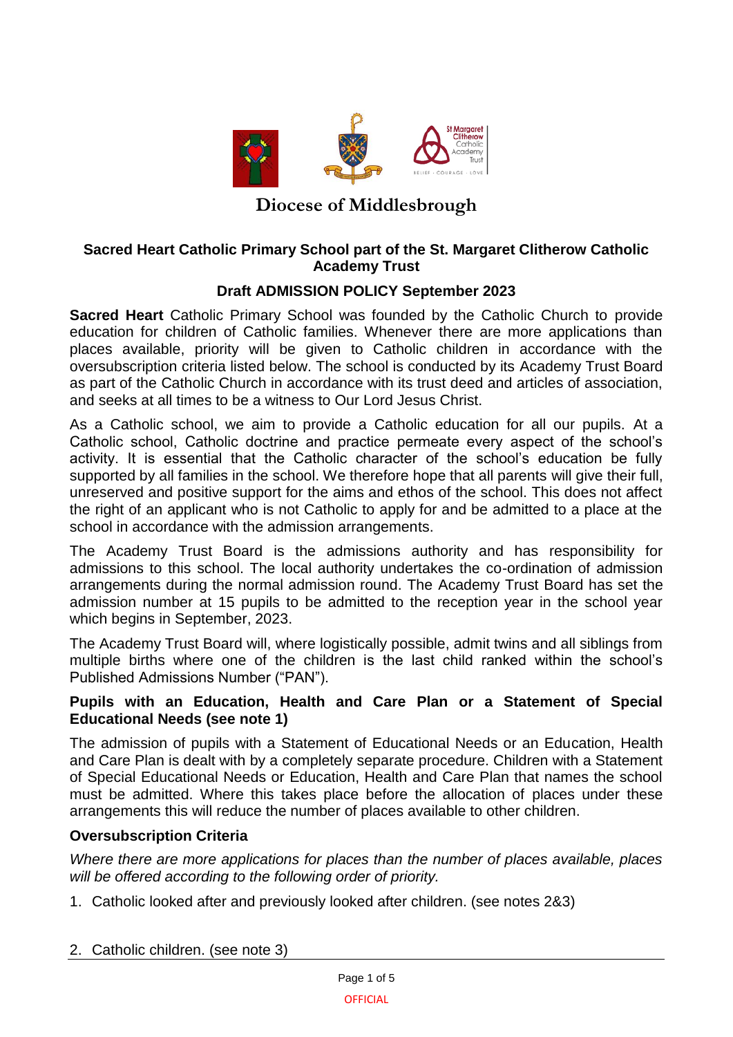

# **Diocese of Middlesbrough**

### **Sacred Heart Catholic Primary School part of the St. Margaret Clitherow Catholic Academy Trust**

## **Draft ADMISSION POLICY September 2023**

**Sacred Heart** Catholic Primary School was founded by the Catholic Church to provide education for children of Catholic families. Whenever there are more applications than places available, priority will be given to Catholic children in accordance with the oversubscription criteria listed below. The school is conducted by its Academy Trust Board as part of the Catholic Church in accordance with its trust deed and articles of association, and seeks at all times to be a witness to Our Lord Jesus Christ.

As a Catholic school, we aim to provide a Catholic education for all our pupils. At a Catholic school, Catholic doctrine and practice permeate every aspect of the school's activity. It is essential that the Catholic character of the school's education be fully supported by all families in the school. We therefore hope that all parents will give their full, unreserved and positive support for the aims and ethos of the school. This does not affect the right of an applicant who is not Catholic to apply for and be admitted to a place at the school in accordance with the admission arrangements.

The Academy Trust Board is the admissions authority and has responsibility for admissions to this school. The local authority undertakes the co-ordination of admission arrangements during the normal admission round. The Academy Trust Board has set the admission number at 15 pupils to be admitted to the reception year in the school year which begins in September, 2023.

The Academy Trust Board will, where logistically possible, admit twins and all siblings from multiple births where one of the children is the last child ranked within the school's Published Admissions Number ("PAN").

### **Pupils with an Education, Health and Care Plan or a Statement of Special Educational Needs (see note 1)**

The admission of pupils with a Statement of Educational Needs or an Education, Health and Care Plan is dealt with by a completely separate procedure. Children with a Statement of Special Educational Needs or Education, Health and Care Plan that names the school must be admitted. Where this takes place before the allocation of places under these arrangements this will reduce the number of places available to other children.

### **Oversubscription Criteria**

*Where there are more applications for places than the number of places available, places will be offered according to the following order of priority.*

- 1. Catholic looked after and previously looked after children. (see notes 2&3)
- 2. Catholic children. (see note 3)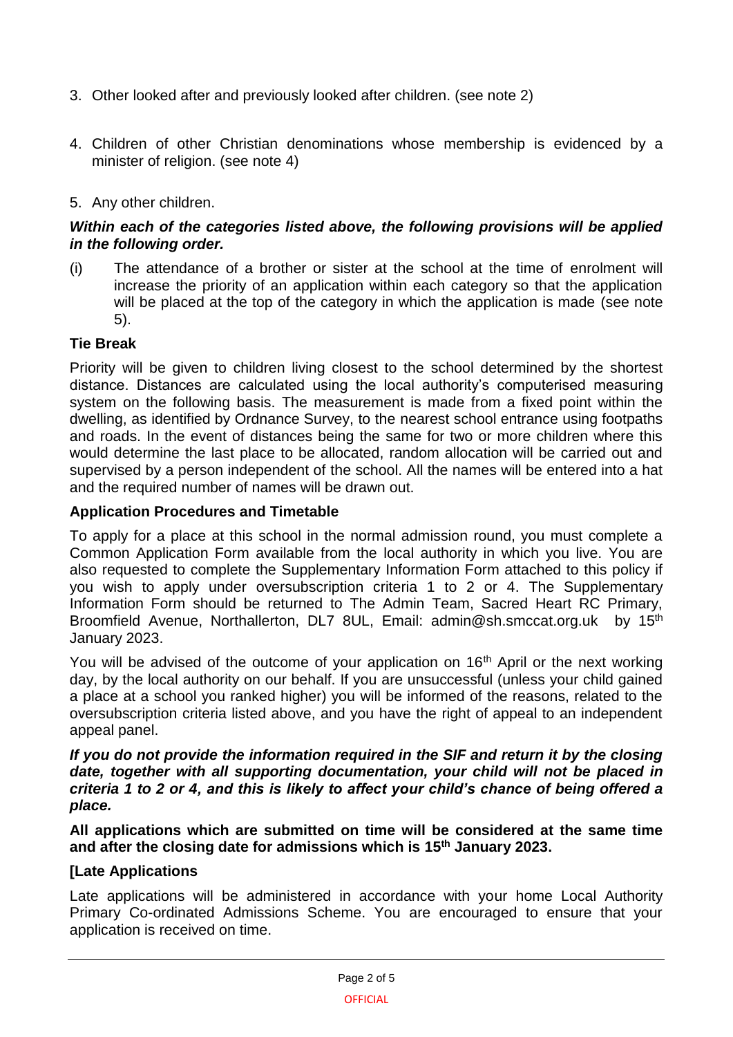- 3. Other looked after and previously looked after children. (see note 2)
- 4. Children of other Christian denominations whose membership is evidenced by a minister of religion. (see note 4)

### 5. Any other children.

### *Within each of the categories listed above, the following provisions will be applied in the following order.*

(i) The attendance of a brother or sister at the school at the time of enrolment will increase the priority of an application within each category so that the application will be placed at the top of the category in which the application is made (see note 5).

### **Tie Break**

Priority will be given to children living closest to the school determined by the shortest distance. Distances are calculated using the local authority's computerised measuring system on the following basis. The measurement is made from a fixed point within the dwelling, as identified by Ordnance Survey, to the nearest school entrance using footpaths and roads. In the event of distances being the same for two or more children where this would determine the last place to be allocated, random allocation will be carried out and supervised by a person independent of the school. All the names will be entered into a hat and the required number of names will be drawn out.

### **Application Procedures and Timetable**

To apply for a place at this school in the normal admission round, you must complete a Common Application Form available from the local authority in which you live. You are also requested to complete the Supplementary Information Form attached to this policy if you wish to apply under oversubscription criteria 1 to 2 or 4. The Supplementary Information Form should be returned to The Admin Team, Sacred Heart RC Primary, Broomfield Avenue, Northallerton, DL7 8UL, Email: admin@sh.smccat.org.uk by 15<sup>th</sup> January 2023.

You will be advised of the outcome of your application on  $16<sup>th</sup>$  April or the next working day, by the local authority on our behalf. If you are unsuccessful (unless your child gained a place at a school you ranked higher) you will be informed of the reasons, related to the oversubscription criteria listed above, and you have the right of appeal to an independent appeal panel.

*If you do not provide the information required in the SIF and return it by the closing*  date, together with all supporting documentation, your child will not be placed in *criteria 1 to 2 or 4, and this is likely to affect your child's chance of being offered a place.*

**All applications which are submitted on time will be considered at the same time and after the closing date for admissions which is 15th January 2023.**

#### **[Late Applications**

Late applications will be administered in accordance with your home Local Authority Primary Co-ordinated Admissions Scheme. You are encouraged to ensure that your application is received on time.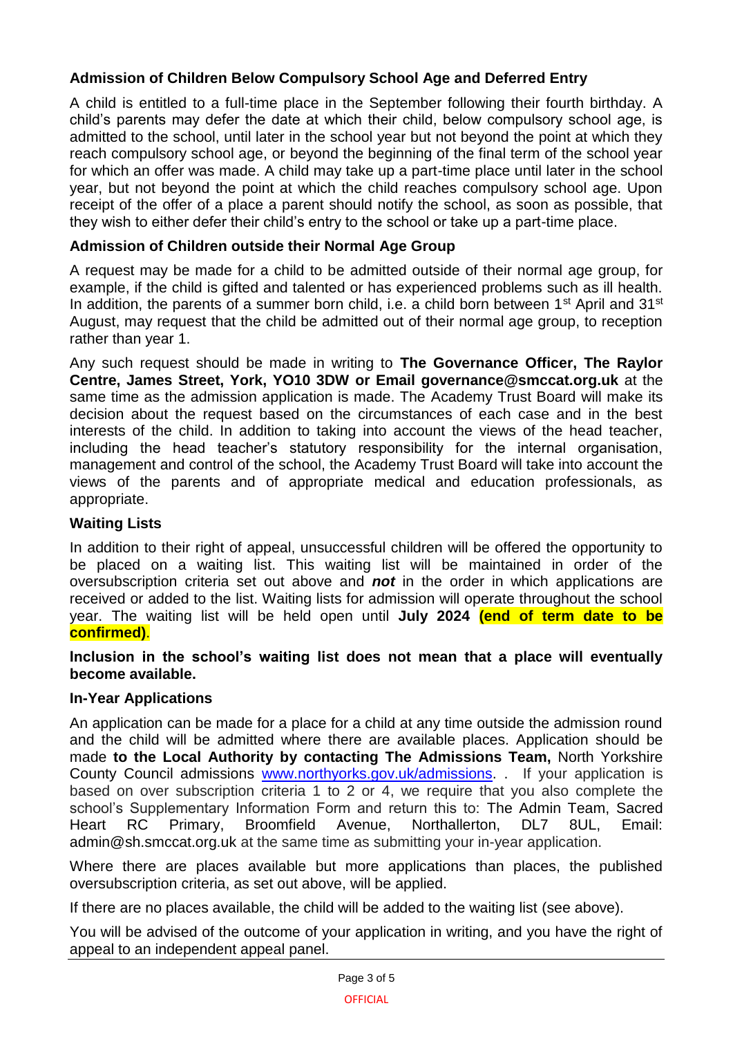## **Admission of Children Below Compulsory School Age and Deferred Entry**

A child is entitled to a full-time place in the September following their fourth birthday. A child's parents may defer the date at which their child, below compulsory school age, is admitted to the school, until later in the school year but not beyond the point at which they reach compulsory school age, or beyond the beginning of the final term of the school year for which an offer was made. A child may take up a part-time place until later in the school year, but not beyond the point at which the child reaches compulsory school age. Upon receipt of the offer of a place a parent should notify the school, as soon as possible, that they wish to either defer their child's entry to the school or take up a part-time place.

## **Admission of Children outside their Normal Age Group**

A request may be made for a child to be admitted outside of their normal age group, for example, if the child is gifted and talented or has experienced problems such as ill health. In addition, the parents of a summer born child, i.e. a child born between  $1<sup>st</sup>$  April and  $31<sup>st</sup>$ August, may request that the child be admitted out of their normal age group, to reception rather than year 1.

Any such request should be made in writing to **The Governance Officer, The Raylor Centre, James Street, York, YO10 3DW or Email governance@smccat.org.uk** at the same time as the admission application is made. The Academy Trust Board will make its decision about the request based on the circumstances of each case and in the best interests of the child. In addition to taking into account the views of the head teacher, including the head teacher's statutory responsibility for the internal organisation, management and control of the school, the Academy Trust Board will take into account the views of the parents and of appropriate medical and education professionals, as appropriate.

### **Waiting Lists**

In addition to their right of appeal, unsuccessful children will be offered the opportunity to be placed on a waiting list. This waiting list will be maintained in order of the oversubscription criteria set out above and *not* in the order in which applications are received or added to the list. Waiting lists for admission will operate throughout the school year. The waiting list will be held open until **July 2024 (end of term date to be confirmed)**.

**Inclusion in the school's waiting list does not mean that a place will eventually become available.**

### **In-Year Applications**

An application can be made for a place for a child at any time outside the admission round and the child will be admitted where there are available places. Application should be made **to the Local Authority by contacting The Admissions Team,** North Yorkshire County Council admissions [www.northyorks.gov.uk/admissions.](http://www.northyorks.gov.uk/admissions) . If your application is based on over subscription criteria 1 to 2 or 4, we require that you also complete the school's Supplementary Information Form and return this to: The Admin Team, Sacred Heart RC Primary, Broomfield Avenue, Northallerton, DL7 8UL, Email: admin@sh.smccat.org.uk at the same time as submitting your in-year application.

Where there are places available but more applications than places, the published oversubscription criteria, as set out above, will be applied.

If there are no places available, the child will be added to the waiting list (see above).

You will be advised of the outcome of your application in writing, and you have the right of appeal to an independent appeal panel.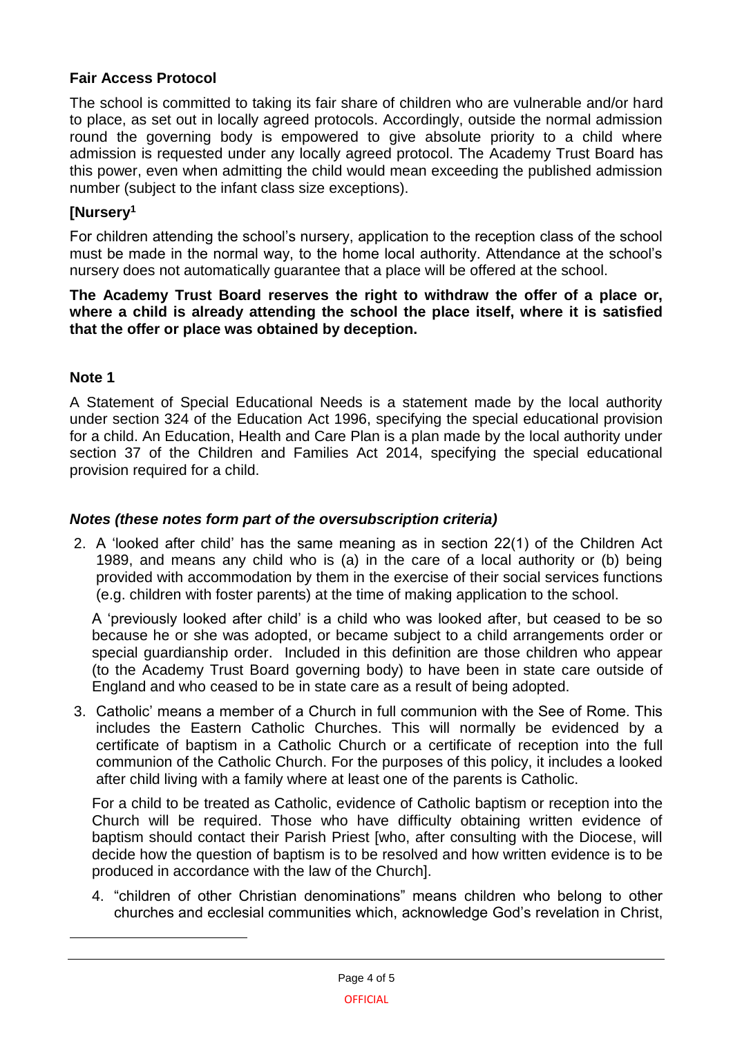## **Fair Access Protocol**

The school is committed to taking its fair share of children who are vulnerable and/or hard to place, as set out in locally agreed protocols. Accordingly, outside the normal admission round the governing body is empowered to give absolute priority to a child where admission is requested under any locally agreed protocol. The Academy Trust Board has this power, even when admitting the child would mean exceeding the published admission number (subject to the infant class size exceptions).

## **[Nursery<sup>1</sup>**

For children attending the school's nursery, application to the reception class of the school must be made in the normal way, to the home local authority. Attendance at the school's nursery does not automatically guarantee that a place will be offered at the school.

**The Academy Trust Board reserves the right to withdraw the offer of a place or, where a child is already attending the school the place itself, where it is satisfied that the offer or place was obtained by deception.**

### **Note 1**

1

A Statement of Special Educational Needs is a statement made by the local authority under section 324 of the Education Act 1996, specifying the special educational provision for a child. An Education, Health and Care Plan is a plan made by the local authority under section 37 of the Children and Families Act 2014, specifying the special educational provision required for a child.

### *Notes (these notes form part of the oversubscription criteria)*

2. A 'looked after child' has the same meaning as in section 22(1) of the Children Act 1989, and means any child who is (a) in the care of a local authority or (b) being provided with accommodation by them in the exercise of their social services functions (e.g. children with foster parents) at the time of making application to the school.

A 'previously looked after child' is a child who was looked after, but ceased to be so because he or she was adopted, or became subject to a child arrangements order or special guardianship order. Included in this definition are those children who appear (to the Academy Trust Board governing body) to have been in state care outside of England and who ceased to be in state care as a result of being adopted.

3. Catholic' means a member of a Church in full communion with the See of Rome. This includes the Eastern Catholic Churches. This will normally be evidenced by a certificate of baptism in a Catholic Church or a certificate of reception into the full communion of the Catholic Church. For the purposes of this policy, it includes a looked after child living with a family where at least one of the parents is Catholic.

For a child to be treated as Catholic, evidence of Catholic baptism or reception into the Church will be required. Those who have difficulty obtaining written evidence of baptism should contact their Parish Priest [who, after consulting with the Diocese, will decide how the question of baptism is to be resolved and how written evidence is to be produced in accordance with the law of the Church].

4. "children of other Christian denominations" means children who belong to other churches and ecclesial communities which, acknowledge God's revelation in Christ,